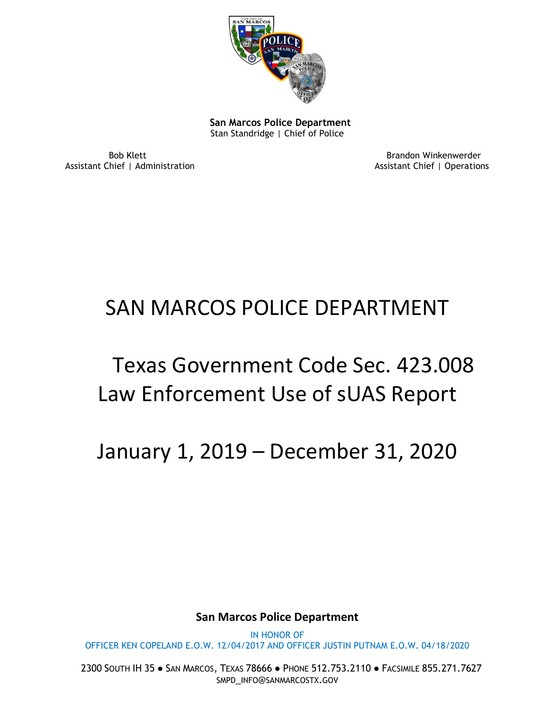

 **San Marcos Police Department** Stan Standridge | Chief of Police

Assistant Chief | Administration

Bob Klett Brandon Winkenwerder

# SAN MARCOS POLICE DEPARTMENT

# Texas Government Code Sec. 423.008 Law Enforcement Use of sUAS Report

January 1, 2019 – December 31, 2020

**San Marcos Police Department**

IN HONOR OF OFFICER KEN COPELAND E.O.W. 12/04/2017 AND OFFICER JUSTIN PUTNAM E.O.W. 04/18/2020

2300 SOUTH IH 35 ● SAN MARCOS, TEXAS 78666 ● PHONE 512.753.2110 ● FACSIMILE 855.271.7627 SMPD\_INFO@SANMARCOSTX.GOV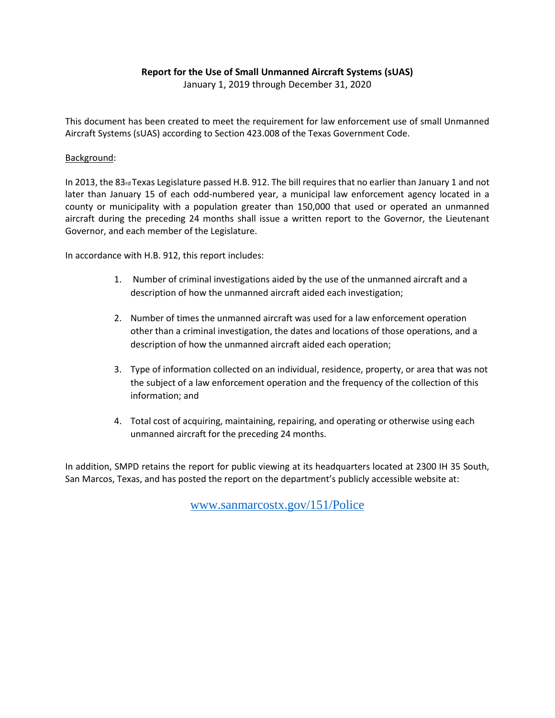#### **Report for the Use of Small Unmanned Aircraft Systems (sUAS)**

January 1, 2019 through December 31, 2020

This document has been created to meet the requirement for law enforcement use of small Unmanned Aircraft Systems (sUAS) according to Section 423.008 of the Texas Government Code.

#### Background:

In 2013, the 83rd Texas Legislature passed H.B. 912. The bill requires that no earlier than January 1 and not later than January 15 of each odd-numbered year, a municipal law enforcement agency located in a county or municipality with a population greater than 150,000 that used or operated an unmanned aircraft during the preceding 24 months shall issue a written report to the Governor, the Lieutenant Governor, and each member of the Legislature.

In accordance with H.B. 912, this report includes:

- 1. Number of criminal investigations aided by the use of the unmanned aircraft and a description of how the unmanned aircraft aided each investigation;
- 2. Number of times the unmanned aircraft was used for a law enforcement operation other than a criminal investigation, the dates and locations of those operations, and a description of how the unmanned aircraft aided each operation;
- 3. Type of information collected on an individual, residence, property, or area that was not the subject of a law enforcement operation and the frequency of the collection of this information; and
- 4. Total cost of acquiring, maintaining, repairing, and operating or otherwise using each unmanned aircraft for the preceding 24 months.

In addition, SMPD retains the report for public viewing at its headquarters located at 2300 IH 35 South, San Marcos, Texas, and has posted the report on the department's publicly accessible website at:

[www.sanmarcostx.gov/151/Police](http://www.sanmarcostx.gov/151/Police)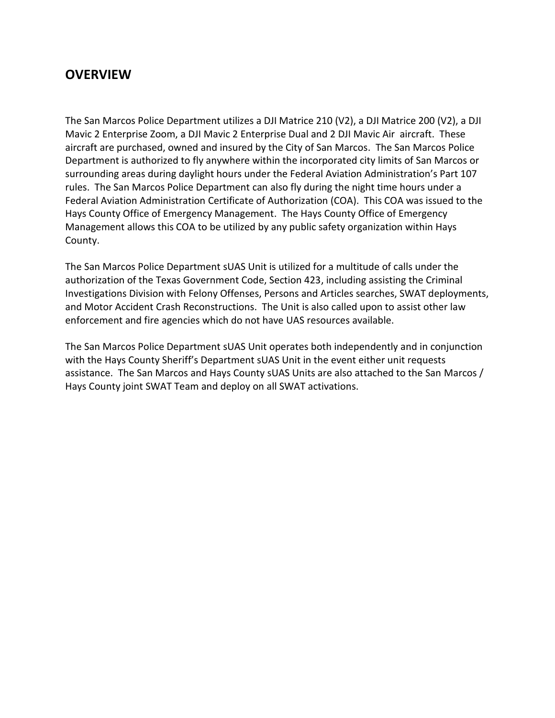### **OVERVIEW**

The San Marcos Police Department utilizes a DJI Matrice 210 (V2), a DJI Matrice 200 (V2), a DJI Mavic 2 Enterprise Zoom, a DJI Mavic 2 Enterprise Dual and 2 DJI Mavic Air aircraft. These aircraft are purchased, owned and insured by the City of San Marcos. The San Marcos Police Department is authorized to fly anywhere within the incorporated city limits of San Marcos or surrounding areas during daylight hours under the Federal Aviation Administration's Part 107 rules. The San Marcos Police Department can also fly during the night time hours under a Federal Aviation Administration Certificate of Authorization (COA). This COA was issued to the Hays County Office of Emergency Management. The Hays County Office of Emergency Management allows this COA to be utilized by any public safety organization within Hays County.

The San Marcos Police Department sUAS Unit is utilized for a multitude of calls under the authorization of the Texas Government Code, Section 423, including assisting the Criminal Investigations Division with Felony Offenses, Persons and Articles searches, SWAT deployments, and Motor Accident Crash Reconstructions. The Unit is also called upon to assist other law enforcement and fire agencies which do not have UAS resources available.

The San Marcos Police Department sUAS Unit operates both independently and in conjunction with the Hays County Sheriff's Department sUAS Unit in the event either unit requests assistance. The San Marcos and Hays County sUAS Units are also attached to the San Marcos / Hays County joint SWAT Team and deploy on all SWAT activations.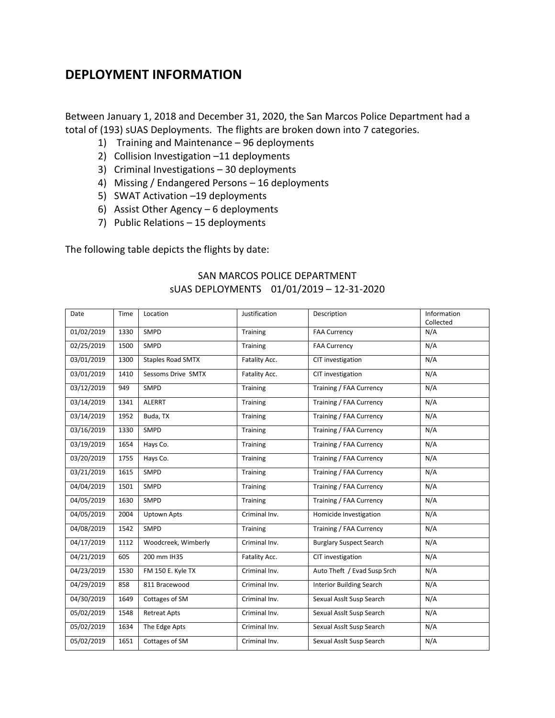### **DEPLOYMENT INFORMATION**

Between January 1, 2018 and December 31, 2020, the San Marcos Police Department had a total of (193) sUAS Deployments. The flights are broken down into 7 categories.

- 1) Training and Maintenance 96 deployments
- 2) Collision Investigation –11 deployments
- 3) Criminal Investigations 30 deployments
- 4) Missing / Endangered Persons 16 deployments
- 5) SWAT Activation –19 deployments
- 6) Assist Other Agency 6 deployments
- 7) Public Relations 15 deployments

The following table depicts the flights by date:

#### SAN MARCOS POLICE DEPARTMENT sUAS DEPLOYMENTS 01/01/2019 – 12-31-2020

| Date       | Time | Location                 | Justification | Description                     | Information<br>Collected |
|------------|------|--------------------------|---------------|---------------------------------|--------------------------|
| 01/02/2019 | 1330 | SMPD                     | Training      | <b>FAA Currency</b>             | N/A                      |
| 02/25/2019 | 1500 | SMPD                     | Training      | <b>FAA Currency</b>             | N/A                      |
| 03/01/2019 | 1300 | <b>Staples Road SMTX</b> | Fatality Acc. | CIT investigation               | N/A                      |
| 03/01/2019 | 1410 | Sessoms Drive SMTX       | Fatality Acc. | CIT investigation               | N/A                      |
| 03/12/2019 | 949  | SMPD                     | Training      | Training / FAA Currency         | N/A                      |
| 03/14/2019 | 1341 | <b>ALERRT</b>            | Training      | Training / FAA Currency         | N/A                      |
| 03/14/2019 | 1952 | Buda, TX                 | Training      | Training / FAA Currency         | N/A                      |
| 03/16/2019 | 1330 | SMPD                     | Training      | Training / FAA Currency         | N/A                      |
| 03/19/2019 | 1654 | Hays Co.                 | Training      | Training / FAA Currency         | N/A                      |
| 03/20/2019 | 1755 | Hays Co.                 | Training      | Training / FAA Currency         | N/A                      |
| 03/21/2019 | 1615 | SMPD                     | Training      | Training / FAA Currency         | N/A                      |
| 04/04/2019 | 1501 | SMPD                     | Training      | Training / FAA Currency         | N/A                      |
| 04/05/2019 | 1630 | SMPD                     | Training      | Training / FAA Currency         | N/A                      |
| 04/05/2019 | 2004 | <b>Uptown Apts</b>       | Criminal Inv. | Homicide Investigation          | N/A                      |
| 04/08/2019 | 1542 | <b>SMPD</b>              | Training      | Training / FAA Currency         | N/A                      |
| 04/17/2019 | 1112 | Woodcreek, Wimberly      | Criminal Inv. | <b>Burglary Suspect Search</b>  | N/A                      |
| 04/21/2019 | 605  | 200 mm IH35              | Fatality Acc. | CIT investigation               | N/A                      |
| 04/23/2019 | 1530 | FM 150 E. Kyle TX        | Criminal Inv. | Auto Theft / Evad Susp Srch     | N/A                      |
| 04/29/2019 | 858  | 811 Bracewood            | Criminal Inv. | <b>Interior Building Search</b> | N/A                      |
| 04/30/2019 | 1649 | Cottages of SM           | Criminal Inv. | Sexual Asslt Susp Search        | N/A                      |
| 05/02/2019 | 1548 | <b>Retreat Apts</b>      | Criminal Inv. | Sexual Asslt Susp Search        | N/A                      |
| 05/02/2019 | 1634 | The Edge Apts            | Criminal Inv. | Sexual Asslt Susp Search        | N/A                      |
| 05/02/2019 | 1651 | Cottages of SM           | Criminal Inv. | Sexual Asslt Susp Search        | N/A                      |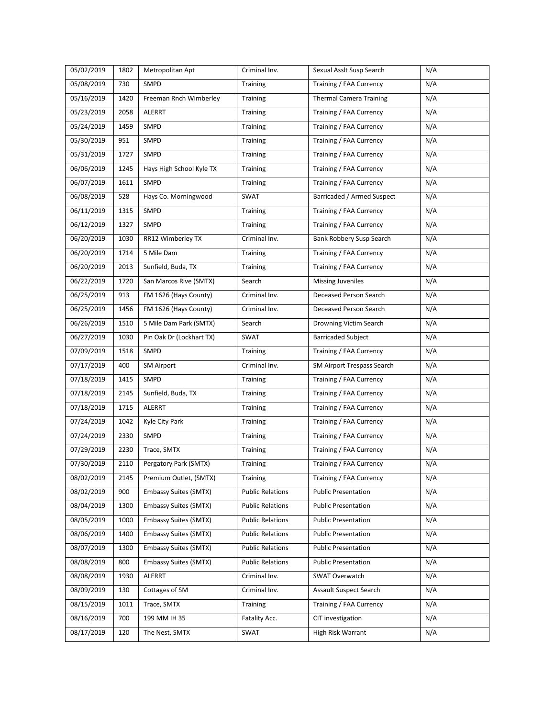| 05/02/2019 | 1802 | Metropolitan Apt             | Criminal Inv.           | Sexual Asslt Susp Search       | N/A |
|------------|------|------------------------------|-------------------------|--------------------------------|-----|
| 05/08/2019 | 730  | SMPD                         | Training                | Training / FAA Currency        | N/A |
| 05/16/2019 | 1420 | Freeman Rnch Wimberley       | Training                | <b>Thermal Camera Training</b> | N/A |
| 05/23/2019 | 2058 | ALERRT                       | Training                | Training / FAA Currency        | N/A |
| 05/24/2019 | 1459 | SMPD                         | Training                | Training / FAA Currency        | N/A |
| 05/30/2019 | 951  | SMPD                         | Training                | Training / FAA Currency        | N/A |
| 05/31/2019 | 1727 | SMPD                         | Training                | Training / FAA Currency        | N/A |
| 06/06/2019 | 1245 | Hays High School Kyle TX     | Training                | Training / FAA Currency        | N/A |
| 06/07/2019 | 1611 | SMPD                         | Training                | Training / FAA Currency        | N/A |
| 06/08/2019 | 528  | Hays Co. Morningwood         | SWAT                    | Barricaded / Armed Suspect     | N/A |
| 06/11/2019 | 1315 | SMPD                         | Training                | Training / FAA Currency        | N/A |
| 06/12/2019 | 1327 | SMPD                         | Training                | Training / FAA Currency        | N/A |
| 06/20/2019 | 1030 | RR12 Wimberley TX            | Criminal Inv.           | Bank Robbery Susp Search       | N/A |
| 06/20/2019 | 1714 | 5 Mile Dam                   | Training                | Training / FAA Currency        | N/A |
| 06/20/2019 | 2013 | Sunfield, Buda, TX           | Training                | Training / FAA Currency        | N/A |
| 06/22/2019 | 1720 | San Marcos Rive (SMTX)       | Search                  | <b>Missing Juveniles</b>       | N/A |
| 06/25/2019 | 913  | FM 1626 (Hays County)        | Criminal Inv.           | Deceased Person Search         | N/A |
| 06/25/2019 | 1456 | FM 1626 (Hays County)        | Criminal Inv.           | Deceased Person Search         | N/A |
| 06/26/2019 | 1510 | 5 Mile Dam Park (SMTX)       | Search                  | Drowning Victim Search         | N/A |
| 06/27/2019 | 1030 | Pin Oak Dr (Lockhart TX)     | SWAT                    | <b>Barricaded Subject</b>      | N/A |
| 07/09/2019 | 1518 | SMPD                         | Training                | Training / FAA Currency        | N/A |
| 07/17/2019 | 400  | <b>SM Airport</b>            | Criminal Inv.           | SM Airport Trespass Search     | N/A |
| 07/18/2019 | 1415 | SMPD                         | Training                | Training / FAA Currency        | N/A |
| 07/18/2019 | 2145 | Sunfield, Buda, TX           | Training                | Training / FAA Currency        | N/A |
| 07/18/2019 | 1715 | <b>ALERRT</b>                | Training                | Training / FAA Currency        | N/A |
| 07/24/2019 | 1042 | Kyle City Park               | Training                | Training / FAA Currency        | N/A |
| 07/24/2019 | 2330 | SMPD                         | Training                | Training / FAA Currency        | N/A |
| 07/29/2019 | 2230 | Trace, SMTX                  | Training                | Training / FAA Currency        | N/A |
| 07/30/2019 | 2110 | Pergatory Park (SMTX)        | Training                | Training / FAA Currency        | N/A |
| 08/02/2019 | 2145 | Premium Outlet, (SMTX)       | Training                | Training / FAA Currency        | N/A |
| 08/02/2019 | 900  | <b>Embassy Suites (SMTX)</b> | <b>Public Relations</b> | <b>Public Presentation</b>     | N/A |
| 08/04/2019 | 1300 | <b>Embassy Suites (SMTX)</b> | <b>Public Relations</b> | <b>Public Presentation</b>     | N/A |
| 08/05/2019 | 1000 | <b>Embassy Suites (SMTX)</b> | <b>Public Relations</b> | <b>Public Presentation</b>     | N/A |
| 08/06/2019 | 1400 | <b>Embassy Suites (SMTX)</b> | <b>Public Relations</b> | <b>Public Presentation</b>     | N/A |
| 08/07/2019 | 1300 | <b>Embassy Suites (SMTX)</b> | <b>Public Relations</b> | <b>Public Presentation</b>     | N/A |
| 08/08/2019 | 800  | <b>Embassy Suites (SMTX)</b> | <b>Public Relations</b> | <b>Public Presentation</b>     | N/A |
| 08/08/2019 | 1930 | ALERRT                       | Criminal Inv.           | SWAT Overwatch                 | N/A |
| 08/09/2019 | 130  | Cottages of SM               | Criminal Inv.           | Assault Suspect Search         | N/A |
| 08/15/2019 | 1011 | Trace, SMTX                  | Training                | Training / FAA Currency        | N/A |
| 08/16/2019 | 700  | 199 MM IH 35                 | Fatality Acc.           | CIT investigation              | N/A |
| 08/17/2019 | 120  | The Nest, SMTX               | SWAT                    | High Risk Warrant              | N/A |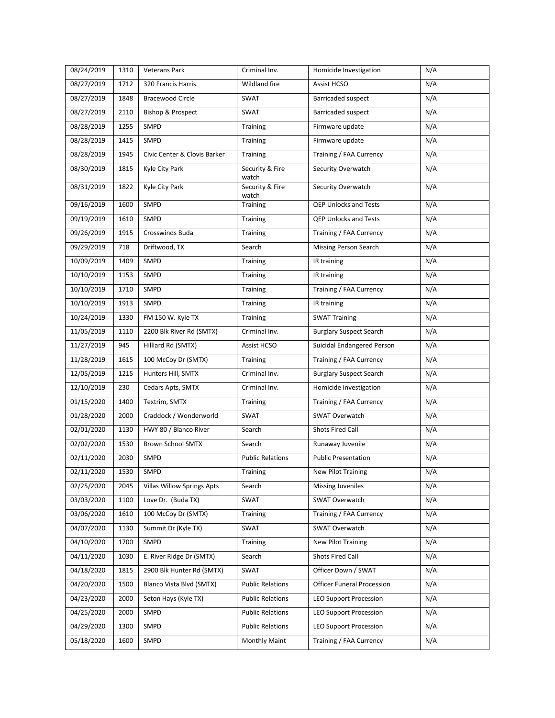| 08/24/2019 | 1310 | Veterans Park                     | Criminal Inv.            | Homicide Investigation            | N/A |
|------------|------|-----------------------------------|--------------------------|-----------------------------------|-----|
| 08/27/2019 | 1712 | 320 Francis Harris                | Wildland fire            | Assist HCSO                       | N/A |
| 08/27/2019 | 1848 | <b>Bracewood Circle</b>           | SWAT                     | Barricaded suspect                | N/A |
| 08/27/2019 | 2110 | <b>Bishop &amp; Prospect</b>      | SWAT                     | Barricaded suspect                | N/A |
| 08/28/2019 | 1255 | SMPD                              | Training                 | Firmware update                   | N/A |
| 08/28/2019 | 1415 | SMPD                              | Training                 | Firmware update                   | N/A |
| 08/28/2019 | 1945 | Civic Center & Clovis Barker      | Training                 | Training / FAA Currency           | N/A |
| 08/30/2019 | 1815 | Kyle City Park                    | Security & Fire<br>watch | Security Overwatch                | N/A |
| 08/31/2019 | 1822 | Kyle City Park                    | Security & Fire<br>watch | Security Overwatch                | N/A |
| 09/16/2019 | 1600 | SMPD                              | Training                 | QEP Unlocks and Tests             | N/A |
| 09/19/2019 | 1610 | SMPD                              | Training                 | QEP Unlocks and Tests             | N/A |
| 09/26/2019 | 1915 | Crosswinds Buda                   | Training                 | Training / FAA Currency           | N/A |
| 09/29/2019 | 718  | Driftwood, TX                     | Search                   | <b>Missing Person Search</b>      | N/A |
| 10/09/2019 | 1409 | SMPD                              | Training                 | IR training                       | N/A |
| 10/10/2019 | 1153 | SMPD                              | Training                 | IR training                       | N/A |
| 10/10/2019 | 1710 | SMPD                              | <b>Training</b>          | Training / FAA Currency           | N/A |
| 10/10/2019 | 1913 | SMPD                              | Training                 | IR training                       | N/A |
| 10/24/2019 | 1330 | FM 150 W. Kyle TX                 | Training                 | <b>SWAT Training</b>              | N/A |
| 11/05/2019 | 1110 | 2200 Blk River Rd (SMTX)          | Criminal Inv.            | <b>Burglary Suspect Search</b>    | N/A |
| 11/27/2019 | 945  | Hilliard Rd (SMTX)                | Assist HCSO              | Suicidal Endangered Person        | N/A |
| 11/28/2019 | 1615 | 100 McCoy Dr (SMTX)               | Training                 | Training / FAA Currency           | N/A |
| 12/05/2019 | 1215 | Hunters Hill, SMTX                | Criminal Inv.            | <b>Burglary Suspect Search</b>    | N/A |
| 12/10/2019 | 230  | Cedars Apts, SMTX                 | Criminal Inv.            | Homicide Investigation            | N/A |
| 01/15/2020 | 1400 | Textrim, SMTX                     | Training                 | Training / FAA Currency           | N/A |
| 01/28/2020 | 2000 | Craddock / Wonderworld            | SWAT                     | SWAT Overwatch                    | N/A |
| 02/01/2020 | 1130 | HWY 80 / Blanco River             | Search                   | Shots Fired Call                  | N/A |
| 02/02/2020 | 1530 | <b>Brown School SMTX</b>          | Search                   | Runaway Juvenile                  | N/A |
| 02/11/2020 | 2030 | SMPD                              | <b>Public Relations</b>  | <b>Public Presentation</b>        | N/A |
| 02/11/2020 | 1530 | SMPD                              | Training                 | <b>New Pilot Training</b>         | N/A |
| 02/25/2020 | 2045 | <b>Villas Willow Springs Apts</b> | Search                   | <b>Missing Juveniles</b>          | N/A |
| 03/03/2020 | 1100 | Love Dr. (Buda TX)                | SWAT                     | SWAT Overwatch                    | N/A |
| 03/06/2020 | 1610 | 100 McCoy Dr (SMTX)               | Training                 | Training / FAA Currency           | N/A |
| 04/07/2020 | 1130 | Summit Dr (Kyle TX)               | SWAT                     | SWAT Overwatch                    | N/A |
| 04/10/2020 | 1700 | SMPD                              | Training                 | <b>New Pilot Training</b>         | N/A |
| 04/11/2020 | 1030 | E. River Ridge Dr (SMTX)          | Search                   | <b>Shots Fired Call</b>           | N/A |
| 04/18/2020 | 1815 | 2900 Blk Hunter Rd (SMTX)         | SWAT                     | Officer Down / SWAT               | N/A |
| 04/20/2020 | 1500 | Blanco Vista Blvd (SMTX)          | <b>Public Relations</b>  | <b>Officer Funeral Procession</b> | N/A |
| 04/23/2020 | 2000 | Seton Hays (Kyle TX)              | <b>Public Relations</b>  | <b>LEO Support Procession</b>     | N/A |
| 04/25/2020 | 2000 | SMPD                              | <b>Public Relations</b>  | <b>LEO Support Procession</b>     | N/A |
| 04/29/2020 | 1300 | SMPD                              | <b>Public Relations</b>  | <b>LEO Support Procession</b>     | N/A |
| 05/18/2020 | 1600 | SMPD                              | Monthly Maint            | Training / FAA Currency           | N/A |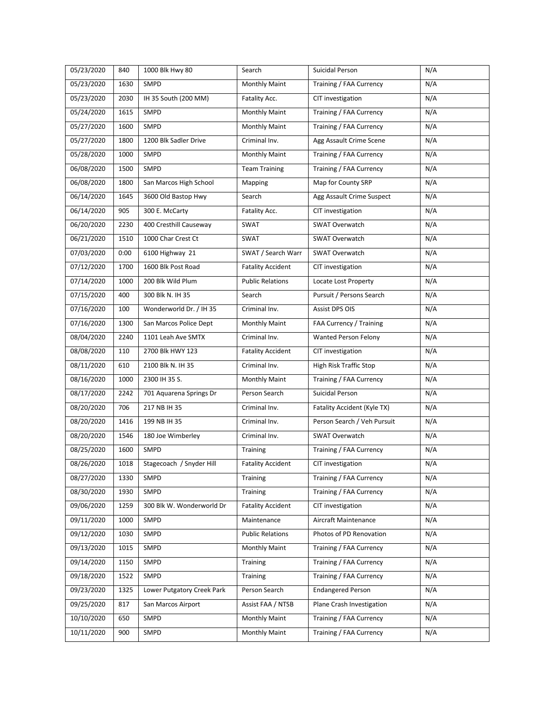| 05/23/2020 | 840  | 1000 Blk Hwy 80            | Search                   | Suicidal Person             | N/A |
|------------|------|----------------------------|--------------------------|-----------------------------|-----|
| 05/23/2020 | 1630 | SMPD                       | <b>Monthly Maint</b>     | Training / FAA Currency     | N/A |
| 05/23/2020 | 2030 | IH 35 South (200 MM)       | Fatality Acc.            | CIT investigation           | N/A |
| 05/24/2020 | 1615 | SMPD                       | Monthly Maint            | Training / FAA Currency     | N/A |
| 05/27/2020 | 1600 | SMPD                       | <b>Monthly Maint</b>     | Training / FAA Currency     | N/A |
| 05/27/2020 | 1800 | 1200 Blk Sadler Drive      | Criminal Inv.            | Agg Assault Crime Scene     | N/A |
| 05/28/2020 | 1000 | SMPD                       | <b>Monthly Maint</b>     | Training / FAA Currency     | N/A |
| 06/08/2020 | 1500 | SMPD                       | <b>Team Training</b>     | Training / FAA Currency     | N/A |
| 06/08/2020 | 1800 | San Marcos High School     | Mapping                  | Map for County SRP          | N/A |
| 06/14/2020 | 1645 | 3600 Old Bastop Hwy        | Search                   | Agg Assault Crime Suspect   | N/A |
| 06/14/2020 | 905  | 300 E. McCarty             | Fatality Acc.            | CIT investigation           | N/A |
| 06/20/2020 | 2230 | 400 Cresthill Causeway     | SWAT                     | SWAT Overwatch              | N/A |
| 06/21/2020 | 1510 | 1000 Char Crest Ct         | <b>SWAT</b>              | SWAT Overwatch              | N/A |
| 07/03/2020 | 0:00 | 6100 Highway 21            | SWAT / Search Warr       | SWAT Overwatch              | N/A |
| 07/12/2020 | 1700 | 1600 Blk Post Road         | <b>Fatality Accident</b> | CIT investigation           | N/A |
| 07/14/2020 | 1000 | 200 Blk Wild Plum          | <b>Public Relations</b>  | Locate Lost Property        | N/A |
| 07/15/2020 | 400  | 300 Blk N. IH 35           | Search                   | Pursuit / Persons Search    | N/A |
| 07/16/2020 | 100  | Wonderworld Dr. / IH 35    | Criminal Inv.            | Assist DPS OIS              | N/A |
| 07/16/2020 | 1300 | San Marcos Police Dept     | <b>Monthly Maint</b>     | FAA Currency / Training     | N/A |
| 08/04/2020 | 2240 | 1101 Leah Ave SMTX         | Criminal Inv.            | Wanted Person Felony        | N/A |
| 08/08/2020 | 110  | 2700 Blk HWY 123           | <b>Fatality Accident</b> | CIT investigation           | N/A |
| 08/11/2020 | 610  | 2100 Blk N. IH 35          | Criminal Inv.            | High Risk Traffic Stop      | N/A |
| 08/16/2020 | 1000 | 2300 IH 35 S.              | <b>Monthly Maint</b>     | Training / FAA Currency     | N/A |
| 08/17/2020 | 2242 | 701 Aquarena Springs Dr    | Person Search            | Suicidal Person             | N/A |
| 08/20/2020 | 706  | 217 NB IH 35               | Criminal Inv.            | Fatality Accident (Kyle TX) | N/A |
| 08/20/2020 | 1416 | 199 NB IH 35               | Criminal Inv.            | Person Search / Veh Pursuit | N/A |
| 08/20/2020 | 1546 | 180 Joe Wimberley          | Criminal Inv.            | <b>SWAT Overwatch</b>       | N/A |
| 08/25/2020 | 1600 | SMPD                       | Training                 | Training / FAA Currency     | N/A |
| 08/26/2020 | 1018 | Stagecoach / Snyder Hill   | <b>Fatality Accident</b> | CIT investigation           | N/A |
| 08/27/2020 | 1330 | SMPD                       | <b>Training</b>          | Training / FAA Currency     | N/A |
| 08/30/2020 | 1930 | SMPD                       | Training                 | Training / FAA Currency     | N/A |
| 09/06/2020 | 1259 | 300 Blk W. Wonderworld Dr  | <b>Fatality Accident</b> | CIT investigation           | N/A |
| 09/11/2020 | 1000 | SMPD                       | Maintenance              | Aircraft Maintenance        | N/A |
| 09/12/2020 | 1030 | SMPD                       | <b>Public Relations</b>  | Photos of PD Renovation     | N/A |
| 09/13/2020 | 1015 | SMPD                       | Monthly Maint            | Training / FAA Currency     | N/A |
| 09/14/2020 | 1150 | SMPD                       | Training                 | Training / FAA Currency     | N/A |
| 09/18/2020 | 1522 | SMPD                       | Training                 | Training / FAA Currency     | N/A |
| 09/23/2020 | 1325 | Lower Putgatory Creek Park | Person Search            | <b>Endangered Person</b>    | N/A |
| 09/25/2020 | 817  | San Marcos Airport         | Assist FAA / NTSB        | Plane Crash Investigation   | N/A |
| 10/10/2020 | 650  | SMPD                       | <b>Monthly Maint</b>     | Training / FAA Currency     | N/A |
| 10/11/2020 | 900  | SMPD                       | Monthly Maint            | Training / FAA Currency     | N/A |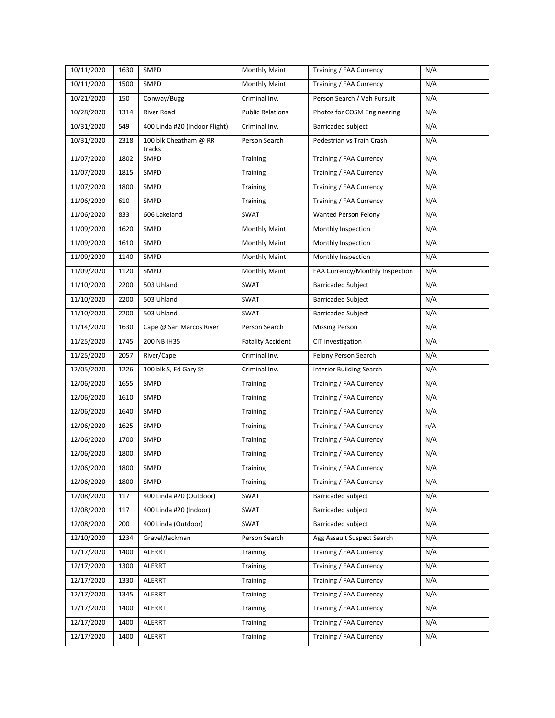| 10/11/2020 | 1630 | SMPD                            | <b>Monthly Maint</b>     | Training / FAA Currency         | N/A |
|------------|------|---------------------------------|--------------------------|---------------------------------|-----|
| 10/11/2020 | 1500 | SMPD                            | <b>Monthly Maint</b>     | Training / FAA Currency         | N/A |
| 10/21/2020 | 150  | Conway/Bugg                     | Criminal Inv.            | Person Search / Veh Pursuit     | N/A |
| 10/28/2020 | 1314 | River Road                      | <b>Public Relations</b>  | Photos for COSM Engineering     | N/A |
| 10/31/2020 | 549  | 400 Linda #20 (Indoor Flight)   | Criminal Inv.            | <b>Barricaded subject</b>       | N/A |
| 10/31/2020 | 2318 | 100 blk Cheatham @ RR<br>tracks | Person Search            | Pedestrian vs Train Crash       | N/A |
| 11/07/2020 | 1802 | SMPD                            | Training                 | Training / FAA Currency         | N/A |
| 11/07/2020 | 1815 | SMPD                            | <b>Training</b>          | Training / FAA Currency         | N/A |
| 11/07/2020 | 1800 | SMPD                            | Training                 | Training / FAA Currency         | N/A |
| 11/06/2020 | 610  | SMPD                            | Training                 | Training / FAA Currency         | N/A |
| 11/06/2020 | 833  | 606 Lakeland                    | SWAT                     | Wanted Person Felony            | N/A |
| 11/09/2020 | 1620 | SMPD                            | Monthly Maint            | Monthly Inspection              | N/A |
| 11/09/2020 | 1610 | SMPD                            | Monthly Maint            | Monthly Inspection              | N/A |
| 11/09/2020 | 1140 | SMPD                            | Monthly Maint            | Monthly Inspection              | N/A |
| 11/09/2020 | 1120 | SMPD                            | Monthly Maint            | FAA Currency/Monthly Inspection | N/A |
| 11/10/2020 | 2200 | 503 Uhland                      | SWAT                     | <b>Barricaded Subject</b>       | N/A |
| 11/10/2020 | 2200 | 503 Uhland                      | SWAT                     | <b>Barricaded Subject</b>       | N/A |
| 11/10/2020 | 2200 | 503 Uhland                      | SWAT                     | <b>Barricaded Subject</b>       | N/A |
| 11/14/2020 | 1630 | Cape @ San Marcos River         | Person Search            | <b>Missing Person</b>           | N/A |
| 11/25/2020 | 1745 | 200 NB IH35                     | <b>Fatality Accident</b> | CIT investigation               | N/A |
| 11/25/2020 | 2057 | River/Cape                      | Criminal Inv.            | Felony Person Search            | N/A |
| 12/05/2020 | 1226 | 100 blk S, Ed Gary St           | Criminal Inv.            | <b>Interior Building Search</b> | N/A |
| 12/06/2020 | 1655 | SMPD                            | Training                 | Training / FAA Currency         | N/A |
| 12/06/2020 | 1610 | SMPD                            | Training                 | Training / FAA Currency         | N/A |
| 12/06/2020 | 1640 | SMPD                            | Training                 | Training / FAA Currency         | N/A |
| 12/06/2020 | 1625 | SMPD                            | Training                 | Training / FAA Currency         | n/A |
| 12/06/2020 | 1700 | SMPD                            | Training                 | Training / FAA Currency         | N/A |
| 12/06/2020 | 1800 | SMPD                            | Training                 | Training / FAA Currency         | N/A |
| 12/06/2020 | 1800 | SMPD                            | Training                 | Training / FAA Currency         | N/A |
| 12/06/2020 | 1800 | SMPD                            | Training                 | Training / FAA Currency         | N/A |
| 12/08/2020 | 117  | 400 Linda #20 (Outdoor)         | SWAT                     | <b>Barricaded subject</b>       | N/A |
| 12/08/2020 | 117  | 400 Linda #20 (Indoor)          | SWAT                     | Barricaded subject              | N/A |
| 12/08/2020 | 200  | 400 Linda (Outdoor)             | SWAT                     | Barricaded subject              | N/A |
| 12/10/2020 | 1234 | Gravel/Jackman                  | Person Search            | Agg Assault Suspect Search      | N/A |
| 12/17/2020 | 1400 | <b>ALERRT</b>                   | Training                 | Training / FAA Currency         | N/A |
| 12/17/2020 | 1300 | ALERRT                          | Training                 | Training / FAA Currency         | N/A |
| 12/17/2020 | 1330 | <b>ALERRT</b>                   | Training                 | Training / FAA Currency         | N/A |
| 12/17/2020 | 1345 | ALERRT                          | Training                 | Training / FAA Currency         | N/A |
| 12/17/2020 | 1400 | ALERRT                          | Training                 | Training / FAA Currency         | N/A |
| 12/17/2020 | 1400 | ALERRT                          | Training                 | Training / FAA Currency         | N/A |
| 12/17/2020 | 1400 | ALERRT                          | Training                 | Training / FAA Currency         | N/A |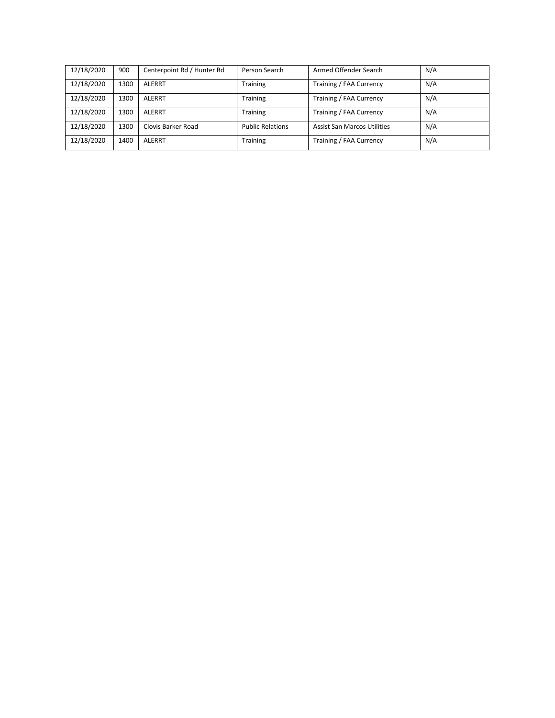| 12/18/2020 | 900  | Centerpoint Rd / Hunter Rd | Person Search           | Armed Offender Search              | N/A |
|------------|------|----------------------------|-------------------------|------------------------------------|-----|
| 12/18/2020 | 1300 | ALERRT                     | <b>Training</b>         | Training / FAA Currency            | N/A |
| 12/18/2020 | 1300 | ALERRT                     | <b>Training</b>         | Training / FAA Currency            | N/A |
| 12/18/2020 | 1300 | ALERRT                     | <b>Training</b>         | Training / FAA Currency            | N/A |
| 12/18/2020 | 1300 | Clovis Barker Road         | <b>Public Relations</b> | <b>Assist San Marcos Utilities</b> | N/A |
| 12/18/2020 | 1400 | ALERRT                     | <b>Training</b>         | Training / FAA Currency            | N/A |